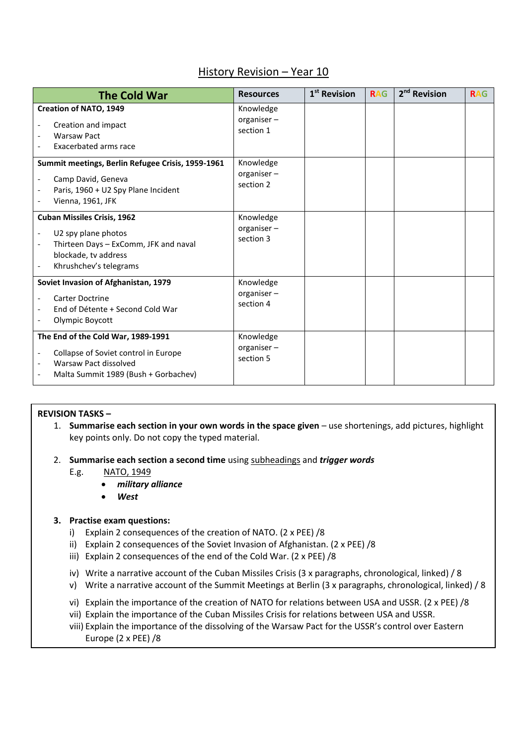# History Revision – Year 10

| <b>The Cold War</b>                                                                                                                                                              | <b>Resources</b>                     | 1 <sup>st</sup> Revision | <b>RAG</b> | 2 <sup>nd</sup> Revision | <b>RAG</b> |
|----------------------------------------------------------------------------------------------------------------------------------------------------------------------------------|--------------------------------------|--------------------------|------------|--------------------------|------------|
| <b>Creation of NATO, 1949</b><br>Creation and impact<br><b>Warsaw Pact</b><br>Exacerbated arms race                                                                              | Knowledge<br>organiser-<br>section 1 |                          |            |                          |            |
| Summit meetings, Berlin Refugee Crisis, 1959-1961<br>Camp David, Geneva<br>Paris, 1960 + U2 Spy Plane Incident<br>Vienna, 1961, JFK                                              | Knowledge<br>organiser-<br>section 2 |                          |            |                          |            |
| <b>Cuban Missiles Crisis, 1962</b><br>U2 spy plane photos<br>$\overline{\phantom{a}}$<br>Thirteen Days - ExComm, JFK and naval<br>blockade, tv address<br>Khrushchev's telegrams | Knowledge<br>organiser-<br>section 3 |                          |            |                          |            |
| Soviet Invasion of Afghanistan, 1979<br><b>Carter Doctrine</b><br>End of Détente + Second Cold War<br>Olympic Boycott                                                            | Knowledge<br>organiser-<br>section 4 |                          |            |                          |            |
| The End of the Cold War, 1989-1991<br>Collapse of Soviet control in Europe<br>Warsaw Pact dissolved<br>Malta Summit 1989 (Bush + Gorbachev)                                      | Knowledge<br>organiser-<br>section 5 |                          |            |                          |            |

# **REVISION TASKS –**

- 1. **Summarise each section in your own words in the space given** use shortenings, add pictures, highlight key points only. Do not copy the typed material.
- 2. **Summarise each section a second time** using subheadings and *trigger words*
	- E.g. NATO, 1949
		- *military alliance*
		- *West*

#### **3. Practise exam questions:**

- i) Explain 2 consequences of the creation of NATO. (2 x PEE) /8
- ii) Explain 2 consequences of the Soviet Invasion of Afghanistan. (2 x PEE) /8
- iii) Explain 2 consequences of the end of the Cold War. (2 x PEE) /8
- iv) Write a narrative account of the Cuban Missiles Crisis (3 x paragraphs, chronological, linked) / 8
- v) Write a narrative account of the Summit Meetings at Berlin (3 x paragraphs, chronological, linked) / 8
- vi) Explain the importance of the creation of NATO for relations between USA and USSR. (2 x PEE) /8
- vii) Explain the importance of the Cuban Missiles Crisis for relations between USA and USSR.
- viii) Explain the importance of the dissolving of the Warsaw Pact for the USSR's control over Eastern Europe (2 x PEE) /8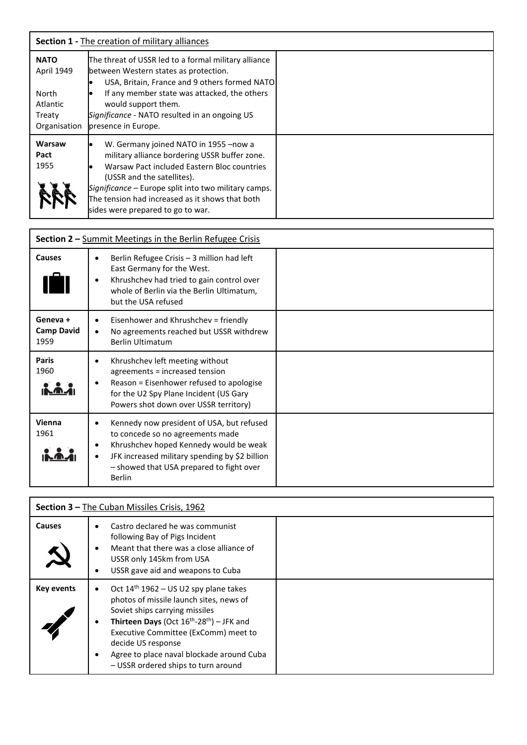| <b>Section 1 - The creation of military alliances</b>                    |                                                                                                                                                                                                                                                                                                                      |  |  |
|--------------------------------------------------------------------------|----------------------------------------------------------------------------------------------------------------------------------------------------------------------------------------------------------------------------------------------------------------------------------------------------------------------|--|--|
| <b>NATO</b><br>April 1949<br>North<br>Atlantic<br>Treaty<br>Organisation | The threat of USSR led to a formal military alliance<br>between Western states as protection.<br>USA, Britain, France and 9 others formed NATO<br>If any member state was attacked, the others<br>would support them.<br>Significance - NATO resulted in an ongoing US<br>presence in Europe.                        |  |  |
| Warsaw<br>Pact<br>1955                                                   | W. Germany joined NATO in 1955 - now a<br>military alliance bordering USSR buffer zone.<br>Warsaw Pact included Eastern Bloc countries<br>(USSR and the satellites).<br>Significance – Europe split into two military camps.<br>The tension had increased as it shows that both<br>sides were prepared to go to war. |  |  |

| Section 2 - Summit Meetings in the Berlin Refugee Crisis |                                                                                                                                                                                                                                                               |  |  |  |
|----------------------------------------------------------|---------------------------------------------------------------------------------------------------------------------------------------------------------------------------------------------------------------------------------------------------------------|--|--|--|
| <b>Causes</b>                                            | Berlin Refugee Crisis - 3 million had left<br>East Germany for the West.<br>Khrushchev had tried to gain control over<br>٠<br>whole of Berlin via the Berlin Ultimatum,<br>but the USA refused                                                                |  |  |  |
| Geneva +<br><b>Camp David</b><br>1959                    | Eisenhower and Khrushchev = friendly<br>No agreements reached but USSR withdrew<br><b>Berlin Ultimatum</b>                                                                                                                                                    |  |  |  |
| <b>Paris</b><br>1960                                     | Khrushchev left meeting without<br>٠<br>agreements = increased tension<br>Reason = Eisenhower refused to apologise<br>٠<br>for the U2 Spy Plane Incident (US Gary<br>Powers shot down over USSR territory)                                                    |  |  |  |
| Vienna<br>1961                                           | Kennedy now president of USA, but refused<br>٠<br>to concede so no agreements made<br>Khrushchev hoped Kennedy would be weak<br>٠<br>JFK increased military spending by \$2 billion<br>$\bullet$<br>- showed that USA prepared to fight over<br><b>Berlin</b> |  |  |  |

| Section 3 - The Cuban Missiles Crisis, 1962 |                                                                                                                                                                                                                                                                                                                                             |  |  |  |
|---------------------------------------------|---------------------------------------------------------------------------------------------------------------------------------------------------------------------------------------------------------------------------------------------------------------------------------------------------------------------------------------------|--|--|--|
| <b>Causes</b>                               | Castro declared he was communist<br>following Bay of Pigs Incident<br>Meant that there was a close alliance of<br>USSR only 145km from USA<br>USSR gave aid and weapons to Cuba                                                                                                                                                             |  |  |  |
| <b>Key events</b>                           | Oct $14th 1962 - US U2$ spy plane takes<br>photos of missile launch sites, news of<br>Soviet ships carrying missiles<br><b>Thirteen Days</b> (Oct $16^{th}$ -28 <sup>th</sup> ) – JFK and<br>Executive Committee (ExComm) meet to<br>decide US response<br>Agree to place naval blockade around Cuba<br>- USSR ordered ships to turn around |  |  |  |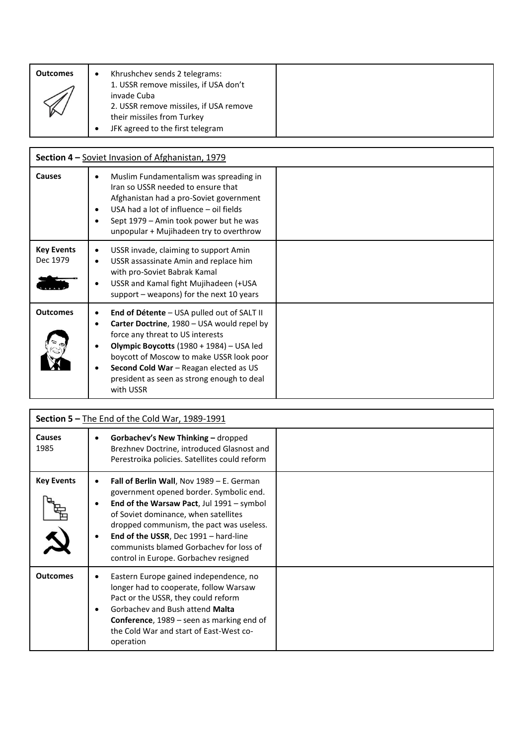| <b>Outcomes</b> | Khrushchev sends 2 telegrams:<br>٠<br>1. USSR remove missiles, if USA don't                                             |
|-----------------|-------------------------------------------------------------------------------------------------------------------------|
|                 | invade Cuba<br>2. USSR remove missiles, if USA remove<br>their missiles from Turkey<br>JFK agreed to the first telegram |

| Section 4 - Soviet Invasion of Afghanistan, 1979 |                                                                                                                                                                                                                                                                                                                                                    |  |  |  |
|--------------------------------------------------|----------------------------------------------------------------------------------------------------------------------------------------------------------------------------------------------------------------------------------------------------------------------------------------------------------------------------------------------------|--|--|--|
| <b>Causes</b>                                    | Muslim Fundamentalism was spreading in<br>$\bullet$<br>Iran so USSR needed to ensure that<br>Afghanistan had a pro-Soviet government<br>USA had a lot of influence - oil fields<br>٠<br>Sept 1979 - Amin took power but he was<br>unpopular + Mujihadeen try to overthrow                                                                          |  |  |  |
| <b>Key Events</b><br>Dec 1979                    | USSR invade, claiming to support Amin<br>$\bullet$<br>USSR assassinate Amin and replace him<br>with pro-Soviet Babrak Kamal<br>USSR and Kamal fight Mujihadeen (+USA<br>$\bullet$<br>support - weapons) for the next 10 years                                                                                                                      |  |  |  |
| <b>Outcomes</b>                                  | End of Détente - USA pulled out of SALT II<br>Carter Doctrine, 1980 - USA would repel by<br>٠<br>force any threat to US interests<br>Olympic Boycotts $(1980 + 1984)$ – USA led<br>٠<br>boycott of Moscow to make USSR look poor<br>Second Cold War - Reagan elected as US<br>$\bullet$<br>president as seen as strong enough to deal<br>with USSR |  |  |  |

| Section 5 - The End of the Cold War, 1989-1991 |                                                                                                                                                                                                                                                                                                                                                    |  |  |
|------------------------------------------------|----------------------------------------------------------------------------------------------------------------------------------------------------------------------------------------------------------------------------------------------------------------------------------------------------------------------------------------------------|--|--|
| Causes<br>1985                                 | Gorbachev's New Thinking - dropped<br>Brezhnev Doctrine, introduced Glasnost and<br>Perestroika policies. Satellites could reform                                                                                                                                                                                                                  |  |  |
| <b>Key Events</b>                              | Fall of Berlin Wall, Nov 1989 - E. German<br>government opened border. Symbolic end.<br>End of the Warsaw Pact, Jul 1991 - symbol<br>of Soviet dominance, when satellites<br>dropped communism, the pact was useless.<br>End of the USSR, Dec 1991 - hard-line<br>communists blamed Gorbachev for loss of<br>control in Europe. Gorbachev resigned |  |  |
| <b>Outcomes</b>                                | Eastern Europe gained independence, no<br>longer had to cooperate, follow Warsaw<br>Pact or the USSR, they could reform<br>Gorbachev and Bush attend Malta<br><b>Conference</b> , $1989 -$ seen as marking end of<br>the Cold War and start of East-West co-<br>operation                                                                          |  |  |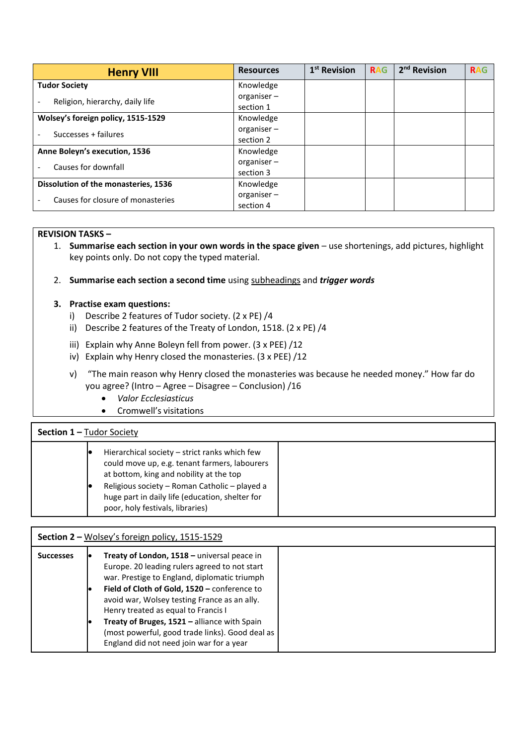| <b>Henry VIII</b>                    | <b>Resources</b>                                                                          | $1st$ Revision | <b>RAG</b> | 2 <sup>nd</sup> Revision | <b>RAG</b> |
|--------------------------------------|-------------------------------------------------------------------------------------------|----------------|------------|--------------------------|------------|
| <b>Tudor Society</b>                 | Knowledge                                                                                 |                |            |                          |            |
| Religion, hierarchy, daily life      | organiser-                                                                                |                |            |                          |            |
|                                      | section 1<br>Knowledge<br>organiser-<br>section 2<br>Knowledge<br>organiser-<br>section 3 |                |            |                          |            |
| Wolsey's foreign policy, 1515-1529   |                                                                                           |                |            |                          |            |
| Successes + failures                 |                                                                                           |                |            |                          |            |
|                                      |                                                                                           |                |            |                          |            |
| Anne Boleyn's execution, 1536        |                                                                                           |                |            |                          |            |
| Causes for downfall                  |                                                                                           |                |            |                          |            |
|                                      |                                                                                           |                |            |                          |            |
| Dissolution of the monasteries, 1536 | Knowledge                                                                                 |                |            |                          |            |
| Causes for closure of monasteries    | organiser-                                                                                |                |            |                          |            |
|                                      | section 4                                                                                 |                |            |                          |            |

#### **REVISION TASKS –**

- 1. **Summarise each section in your own words in the space given** use shortenings, add pictures, highlight key points only. Do not copy the typed material.
- 2. **Summarise each section a second time** using subheadings and *trigger words*

# **3. Practise exam questions:**

- i) Describe 2 features of Tudor society. (2 x PE) /4
- ii) Describe 2 features of the Treaty of London, 1518. (2 x PE) /4
- iii) Explain why Anne Boleyn fell from power. (3 x PEE) /12
- iv) Explain why Henry closed the monasteries. (3 x PEE) /12
- v) "The main reason why Henry closed the monasteries was because he needed money." How far do you agree? (Intro – Agree – Disagree – Conclusion) /16
	- *Valor Ecclesiasticus*
	- Cromwell's visitations

# **Section 1 –** Tudor Society

# **Section 2 –** Wolsey's foreign policy, 1515-1529

| <b>Successes</b> | Treaty of London, 1518 - universal peace in<br>Europe. 20 leading rulers agreed to not start<br>war. Prestige to England, diplomatic triumph<br>Field of Cloth of Gold, 1520 - conference to<br>avoid war, Wolsey testing France as an ally.<br>Henry treated as equal to Francis I<br>Treaty of Bruges, 1521 - alliance with Spain |
|------------------|-------------------------------------------------------------------------------------------------------------------------------------------------------------------------------------------------------------------------------------------------------------------------------------------------------------------------------------|
|                  | (most powerful, good trade links). Good deal as<br>England did not need join war for a year                                                                                                                                                                                                                                         |